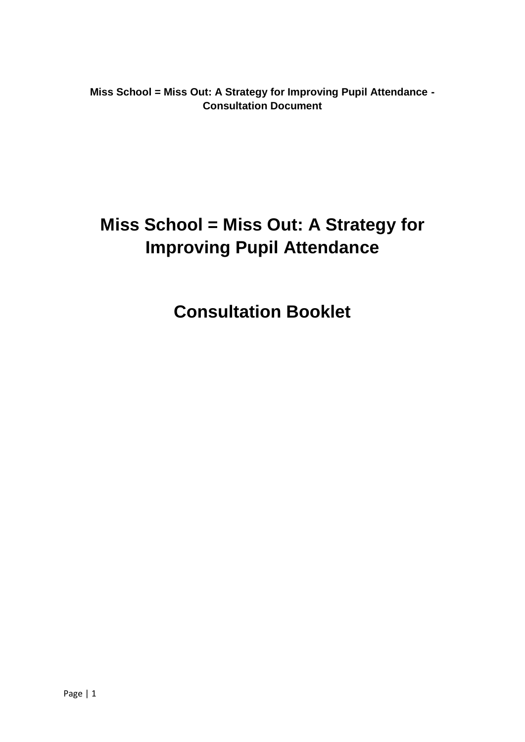**Miss School = Miss Out: A Strategy for Improving Pupil Attendance - Consultation Document**

# **Miss School = Miss Out: A Strategy for Improving Pupil Attendance**

**Consultation Booklet**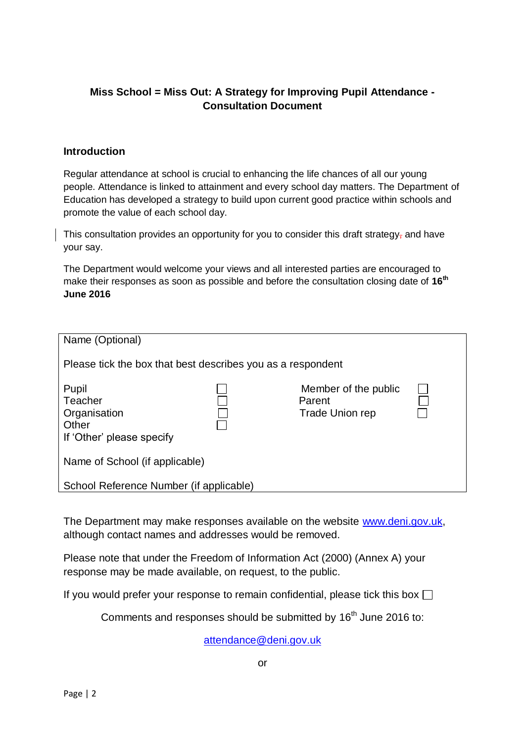## **Miss School = Miss Out: A Strategy for Improving Pupil Attendance - Consultation Document**

#### **Introduction**

Regular attendance at school is crucial to enhancing the life chances of all our young people. Attendance is linked to attainment and every school day matters. The Department of Education has developed a strategy to build upon current good practice within schools and promote the value of each school day.

This consultation provides an opportunity for you to consider this draft strategy, and have your say.

The Department would welcome your views and all interested parties are encouraged to make their responses as soon as possible and before the consultation closing date of **16th June 2016**

| Name (Optional)                                                        |                                                             |                                                   |  |  |  |  |  |
|------------------------------------------------------------------------|-------------------------------------------------------------|---------------------------------------------------|--|--|--|--|--|
|                                                                        | Please tick the box that best describes you as a respondent |                                                   |  |  |  |  |  |
| Pupil<br>Teacher<br>Organisation<br>Other<br>If 'Other' please specify |                                                             | Member of the public<br>Parent<br>Trade Union rep |  |  |  |  |  |
| Name of School (if applicable)                                         |                                                             |                                                   |  |  |  |  |  |
| School Reference Number (if applicable)                                |                                                             |                                                   |  |  |  |  |  |

The Department may make responses available on the website [www.deni.gov.uk,](http://www.deni.gov.uk/) although contact names and addresses would be removed.

Please note that under the Freedom of Information Act (2000) (Annex A) your response may be made available, on request, to the public.

If you would prefer your response to remain confidential, please tick this box  $\Box$ 

Comments and responses should be submitted by 16<sup>th</sup> June 2016 to:

[attendance@deni.gov.uk](mailto:attendance@deni.gov.uk)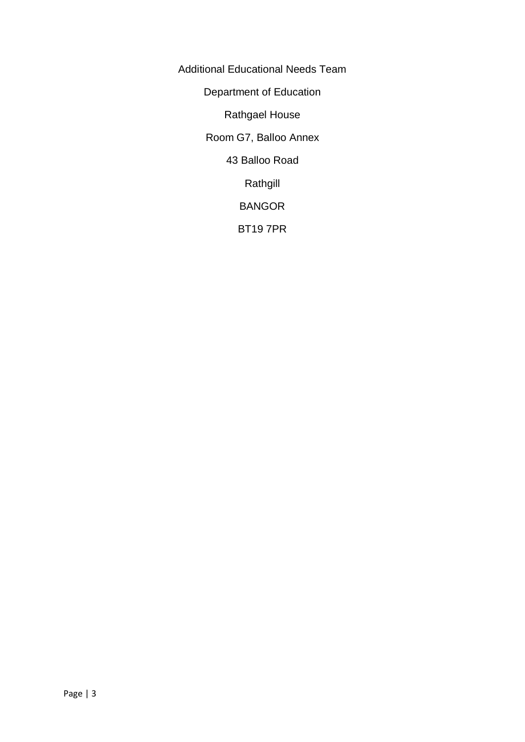Additional Educational Needs Team Department of Education Rathgael House Room G7, Balloo Annex 43 Balloo Road Rathgill BANGOR BT19 7PR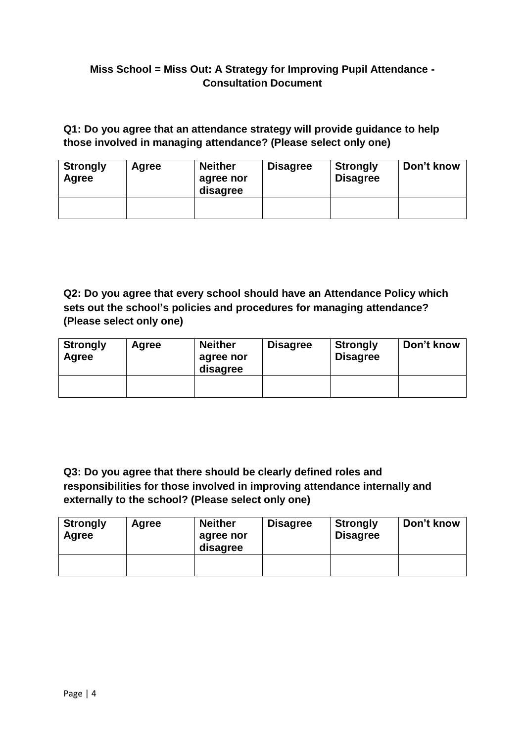## **Miss School = Miss Out: A Strategy for Improving Pupil Attendance - Consultation Document**

# **Q1: Do you agree that an attendance strategy will provide guidance to help those involved in managing attendance? (Please select only one)**

| <b>Strongly</b><br>Agree | Agree | <b>Neither</b><br>agree nor<br>disagree | <b>Disagree</b> | <b>Strongly</b><br><b>Disagree</b> | Don't know |
|--------------------------|-------|-----------------------------------------|-----------------|------------------------------------|------------|
|                          |       |                                         |                 |                                    |            |

**Q2: Do you agree that every school should have an Attendance Policy which sets out the school's policies and procedures for managing attendance? (Please select only one)**

| <b>Strongly</b><br>Agree | Agree | <b>Neither</b><br>agree nor<br>disagree | <b>Disagree</b> | <b>Strongly</b><br><b>Disagree</b> | Don't know |
|--------------------------|-------|-----------------------------------------|-----------------|------------------------------------|------------|
|                          |       |                                         |                 |                                    |            |

**Q3: Do you agree that there should be clearly defined roles and responsibilities for those involved in improving attendance internally and externally to the school? (Please select only one)**

| <b>Strongly</b><br>Agree | Agree | <b>Neither</b><br>agree nor<br>disagree | <b>Disagree</b> | <b>Strongly</b><br><b>Disagree</b> | Don't know |
|--------------------------|-------|-----------------------------------------|-----------------|------------------------------------|------------|
|                          |       |                                         |                 |                                    |            |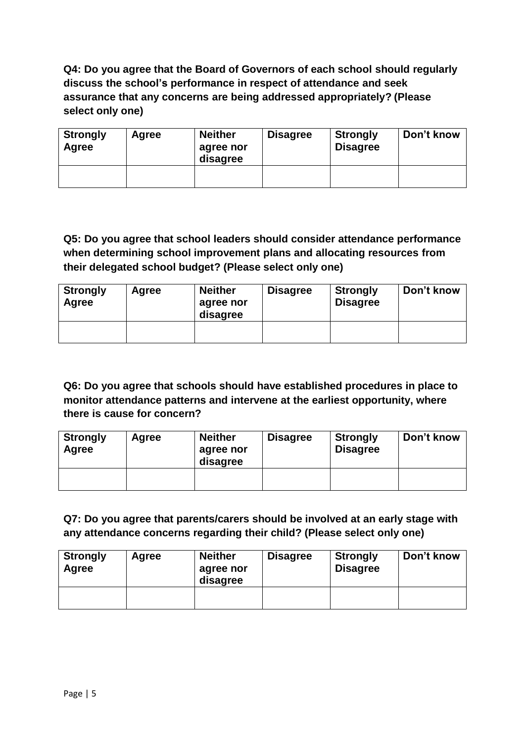**Q4: Do you agree that the Board of Governors of each school should regularly discuss the school's performance in respect of attendance and seek assurance that any concerns are being addressed appropriately? (Please select only one)**

| <b>Strongly</b><br>Agree | Agree | <b>Neither</b><br>agree nor<br>disagree | <b>Disagree</b> | <b>Strongly</b><br><b>Disagree</b> | Don't know |
|--------------------------|-------|-----------------------------------------|-----------------|------------------------------------|------------|
|                          |       |                                         |                 |                                    |            |

# **Q5: Do you agree that school leaders should consider attendance performance when determining school improvement plans and allocating resources from their delegated school budget? (Please select only one)**

| <b>Strongly</b><br>Agree | Agree | <b>Neither</b><br>agree nor<br>disagree | <b>Disagree</b> | <b>Strongly</b><br><b>Disagree</b> | Don't know |
|--------------------------|-------|-----------------------------------------|-----------------|------------------------------------|------------|
|                          |       |                                         |                 |                                    |            |

# **Q6: Do you agree that schools should have established procedures in place to monitor attendance patterns and intervene at the earliest opportunity, where there is cause for concern?**

| <b>Strongly</b><br>Agree | Agree | <b>Neither</b><br>agree nor<br>disagree | <b>Disagree</b> | <b>Strongly</b><br><b>Disagree</b> | Don't know |
|--------------------------|-------|-----------------------------------------|-----------------|------------------------------------|------------|
|                          |       |                                         |                 |                                    |            |

## **Q7: Do you agree that parents/carers should be involved at an early stage with any attendance concerns regarding their child? (Please select only one)**

| <b>Strongly</b><br>Agree | Agree | <b>Neither</b><br>agree nor<br>disagree | <b>Disagree</b> | <b>Strongly</b><br><b>Disagree</b> | Don't know |
|--------------------------|-------|-----------------------------------------|-----------------|------------------------------------|------------|
|                          |       |                                         |                 |                                    |            |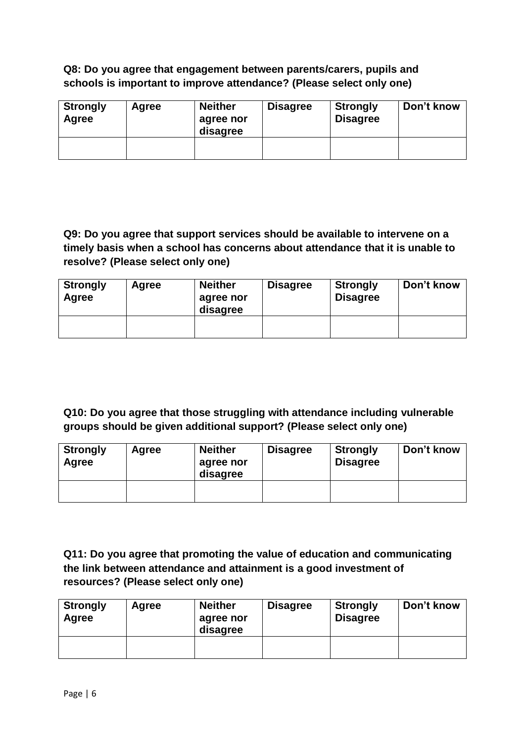### **Q8: Do you agree that engagement between parents/carers, pupils and schools is important to improve attendance? (Please select only one)**

| <b>Strongly</b><br>Agree | Agree | <b>Neither</b><br>agree nor<br>disagree | <b>Disagree</b> | <b>Strongly</b><br><b>Disagree</b> | Don't know |
|--------------------------|-------|-----------------------------------------|-----------------|------------------------------------|------------|
|                          |       |                                         |                 |                                    |            |

**Q9: Do you agree that support services should be available to intervene on a timely basis when a school has concerns about attendance that it is unable to resolve? (Please select only one)**

| <b>Strongly</b><br>Agree | Agree | <b>Neither</b><br>agree nor<br>disagree | <b>Disagree</b> | <b>Strongly</b><br><b>Disagree</b> | Don't know |
|--------------------------|-------|-----------------------------------------|-----------------|------------------------------------|------------|
|                          |       |                                         |                 |                                    |            |

**Q10: Do you agree that those struggling with attendance including vulnerable groups should be given additional support? (Please select only one)**

| <b>Strongly</b><br>Agree | Agree | <b>Neither</b><br>agree nor<br>disagree | <b>Disagree</b> | <b>Strongly</b><br><b>Disagree</b> | Don't know |
|--------------------------|-------|-----------------------------------------|-----------------|------------------------------------|------------|
|                          |       |                                         |                 |                                    |            |

**Q11: Do you agree that promoting the value of education and communicating the link between attendance and attainment is a good investment of resources? (Please select only one)**

| <b>Strongly</b><br>Agree | Agree | <b>Neither</b><br>agree nor<br>disagree | <b>Disagree</b> | <b>Strongly</b><br><b>Disagree</b> | Don't know |
|--------------------------|-------|-----------------------------------------|-----------------|------------------------------------|------------|
|                          |       |                                         |                 |                                    |            |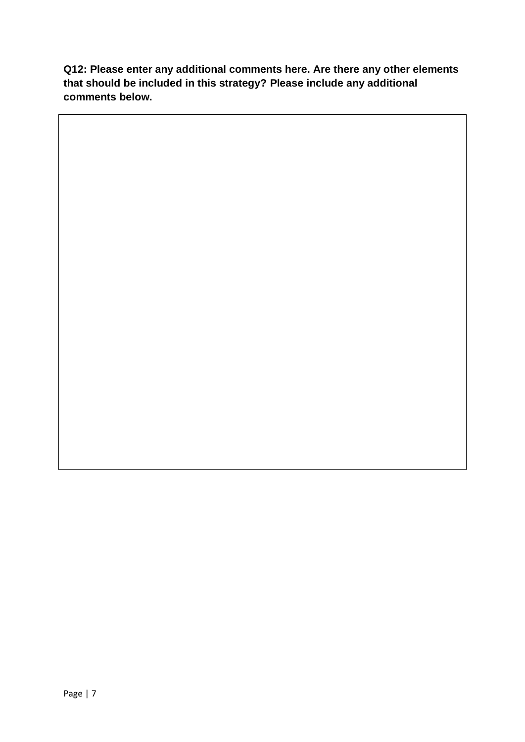**Q12: Please enter any additional comments here. Are there any other elements that should be included in this strategy? Please include any additional comments below.**